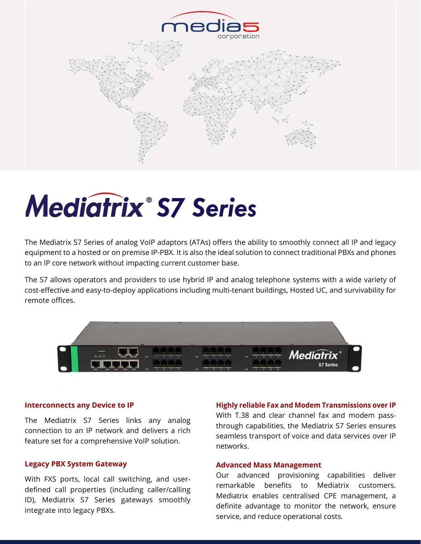

# **Mediatrix<sup>®</sup> S7 Series**

The Mediatrix S7 Series of analog VoIP adaptors (ATAs) offers the ability to smoothly connect all IP and legacy equipment to a hosted or on premise IP-PBX. It is also the ideal solution to connect traditional PBXs and phones to an IP core network without impacting current customer base.

The S7 allows operators and providers to use hybrid IP and analog telephone systems with a wide variety of cost-effective and easy-to-deploy applications including multi-tenant buildings, Hosted UC, and survivability for remote offices.



#### **Interconnects any Device to IP**

The Mediatrix S7 Series links any analog connection to an IP network and delivers a rich feature set for a comprehensive VoIP solution.

### **Legacy PBX System Gateway**

With FXS ports, local call switching, and userdefined call properties (including caller/calling ID), Mediatrix S7 Series gateways smoothly integrate into legacy PBXs.

#### **Highly reliable Fax and Modem Transmissions over IP**

With T.38 and clear channel fax and modem passthrough capabilities, the Mediatrix S7 Series ensures seamless transport of voice and data services over IP networks.

### **Advanced Mass Management**

Our advanced provisioning capabilities deliver remarkable benefits to Mediatrix customers. Mediatrix enables centralised CPE management, a definite advantage to monitor the network, ensure service, and reduce operational costs.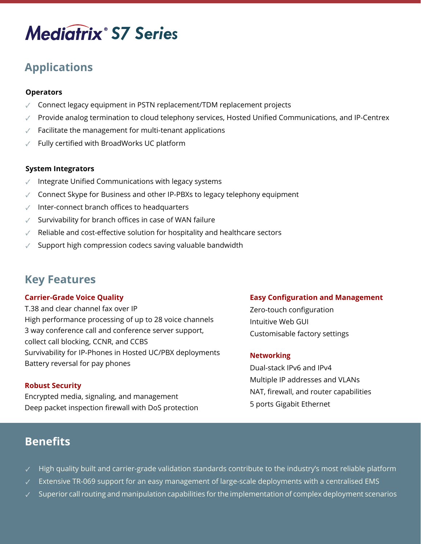## **Mediatrix** S7 Series

### **Applications**

### **Operators**

- ✓ Connect legacy equipment in PSTN replacement/TDM replacement projects
- $\sqrt{ }$  Provide analog termination to cloud telephony services, Hosted Unified Communications, and IP-Centrex
- Facilitate the management for multi-tenant applications
- Fully certified with BroadWorks UC platform

### **System Integrators**

- Integrate Unified Communications with legacy systems
- $\sqrt{ }$  Connect Skype for Business and other IP-PBXs to legacy telephony equipment
- Inter-connect branch offices to headquarters
- Survivability for branch offices in case of WAN failure
- Reliable and cost-effective solution for hospitality and healthcare sectors
- Support high compression codecs saving valuable bandwidth

### **Key Features**

### **Carrier-Grade Voice Quality**

T.38 and clear channel fax over IP High performance processing of up to 28 voice channels 3 way conference call and conference server support, collect call blocking, CCNR, and CCBS Survivability for IP-Phones in Hosted UC/PBX deployments Battery reversal for pay phones

### **Robust Security**

Encrypted media, signaling, and management Deep packet inspection firewall with DoS protection

### **Easy Configuration and Management**

Zero-touch configuration Intuitive Web GUI Customisable factory settings

### **Networking**

Dual-stack IPv6 and IPv4 Multiple IP addresses and VLANs NAT, firewall, and router capabilities 5 ports Gigabit Ethernet

### **Benefits**

- High quality built and carrier-grade validation standards contribute to the industry's most reliable platform
- Extensive TR-069 support for an easy management of large-scale deployments with a centralised EMS
- Superior call routing and manipulation capabilities for the implementation of complex deployment scenarios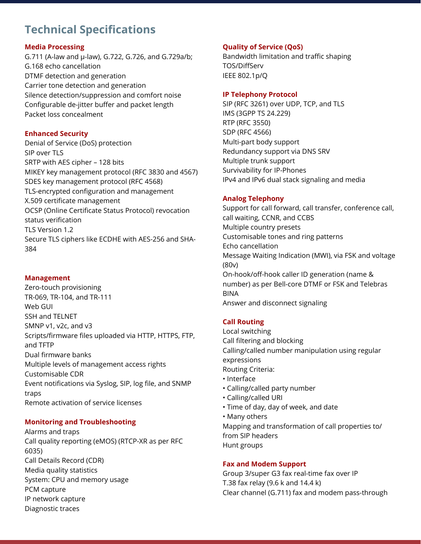### **Technical Specifications**

### **Media Processing**

G.711 (A-law and µ-law), G.722, G.726, and G.729a/b; G.168 echo cancellation DTMF detection and generation Carrier tone detection and generation Silence detection/suppression and comfort noise Configurable de-jitter buffer and packet length Packet loss concealment

### **Enhanced Security**

Denial of Service (DoS) protection SIP over TLS SRTP with AES cipher – 128 bits MIKEY key management protocol (RFC 3830 and 4567) SDES key management protocol (RFC 4568) TLS-encrypted configuration and management X.509 certificate management OCSP (Online Certificate Status Protocol) revocation status verification TLS Version 1.2 Secure TLS ciphers like ECDHE with AES-256 and SHA-384

### **Management**

Zero-touch provisioning TR-069, TR-104, and TR-111 Web GUI SSH and TELNET SMNP v1, v2c, and v3 Scripts/firmware files uploaded via HTTP, HTTPS, FTP, and TFTP Dual firmware banks Multiple levels of management access rights Customisable CDR Event notifications via Syslog, SIP, log file, and SNMP traps Remote activation of service licenses

### **Monitoring and Troubleshooting**

Alarms and traps Call quality reporting (eMOS) (RTCP-XR as per RFC 6035) Call Details Record (CDR) Media quality statistics System: CPU and memory usage PCM capture IP network capture Diagnostic traces

### **Quality of Service (QoS)**

Bandwidth limitation and traffic shaping TOS/DiffServ IEEE 802.1p/Q

### **IP Telephony Protocol**

SIP (RFC 3261) over UDP, TCP, and TLS IMS (3GPP TS 24.229) RTP (RFC 3550) SDP (RFC 4566) Multi-part body support Redundancy support via DNS SRV Multiple trunk support Survivability for IP-Phones IPv4 and IPv6 dual stack signaling and media

### **Analog Telephony**

Support for call forward, call transfer, conference call, call waiting, CCNR, and CCBS Multiple country presets Customisable tones and ring patterns Echo cancellation Message Waiting Indication (MWI), via FSK and voltage (80v) On-hook/off-hook caller ID generation (name & number) as per Bell-core DTMF or FSK and Telebras BINA Answer and disconnect signaling

### **Call Routing**

Local switching Call filtering and blocking Calling/called number manipulation using regular expressions Routing Criteria: • Interface • Calling/called party number • Calling/called URI

• Time of day, day of week, and date • Many others Mapping and transformation of call properties to/ from SIP headers Hunt groups

### **Fax and Modem Support**

Group 3/super G3 fax real-time fax over IP T.38 fax relay (9.6 k and 14.4 k) Clear channel (G.711) fax and modem pass-through